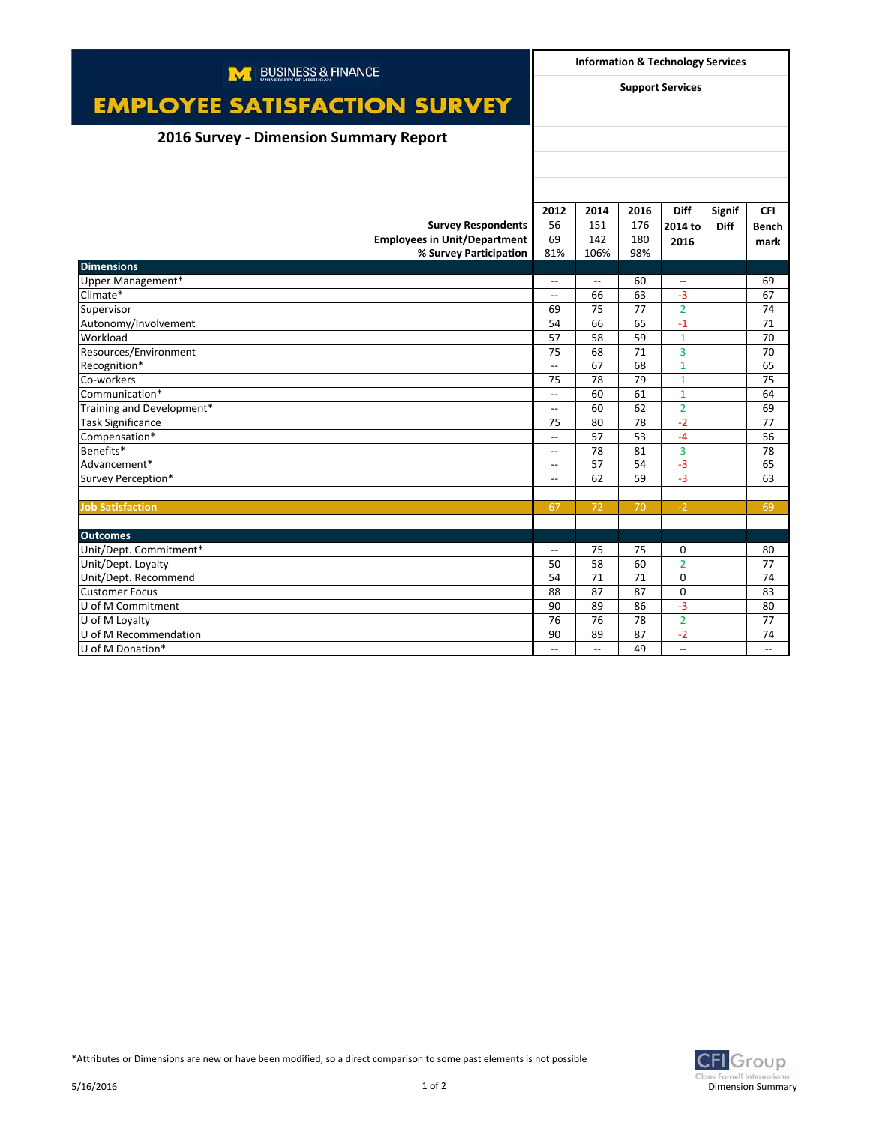| M   BUSINESS & FINANCE<br><b>EMPLOYEE SATISFACTION SURVEY</b> |                          | <b>Information &amp; Technology Services</b><br><b>Support Services</b> |      |                          |               |                          |  |
|---------------------------------------------------------------|--------------------------|-------------------------------------------------------------------------|------|--------------------------|---------------|--------------------------|--|
|                                                               |                          |                                                                         |      |                          |               |                          |  |
| 2016 Survey - Dimension Summary Report                        |                          |                                                                         |      |                          |               |                          |  |
|                                                               |                          |                                                                         |      |                          |               |                          |  |
|                                                               |                          |                                                                         |      |                          |               |                          |  |
|                                                               | 2012                     | 2014                                                                    | 2016 | <b>Diff</b>              | <b>Signif</b> | <b>CFI</b>               |  |
| <b>Survey Respondents</b>                                     | 56                       | 151                                                                     | 176  | 2014 to                  | <b>Diff</b>   | <b>Bench</b>             |  |
| <b>Employees in Unit/Department</b>                           | 69                       | 142                                                                     | 180  | 2016                     |               | mark                     |  |
| % Survey Participation                                        | 81%                      | 106%                                                                    | 98%  |                          |               |                          |  |
| <b>Dimensions</b>                                             |                          |                                                                         |      |                          |               |                          |  |
| Upper Management*                                             | $\overline{\phantom{a}}$ | $\overline{\phantom{a}}$                                                | 60   | $\overline{\phantom{a}}$ |               | 69                       |  |
| Climate*                                                      | $\overline{\phantom{a}}$ | 66                                                                      | 63   | $-3$                     |               | 67                       |  |
| Supervisor                                                    | 69                       | 75                                                                      | 77   | $\overline{2}$           |               | 74                       |  |
| Autonomy/Involvement                                          | 54                       | 66                                                                      | 65   | $-1$                     |               | 71                       |  |
| Workload                                                      | 57                       | 58                                                                      | 59   | $\mathbf{1}$             |               | 70                       |  |
| Resources/Environment                                         | 75                       | 68                                                                      | 71   | 3                        |               | 70                       |  |
| Recognition*                                                  | $\overline{a}$           | 67                                                                      | 68   | $\mathbf{1}$             |               | 65                       |  |
| Co-workers                                                    | 75                       | 78                                                                      | 79   | $\mathbf{1}$             |               | 75                       |  |
| Communication*                                                | $\overline{\phantom{a}}$ | 60                                                                      | 61   | $\mathbf{1}$             |               | 64                       |  |
| Training and Development*                                     | $\overline{\phantom{a}}$ | 60                                                                      | 62   | $\overline{2}$           |               | 69                       |  |
| <b>Task Significance</b>                                      | 75                       | 80                                                                      | 78   | $-2$                     |               | 77                       |  |
| Compensation*                                                 | $\overline{\phantom{a}}$ | 57                                                                      | 53   | $-4$                     |               | 56                       |  |
| Benefits*                                                     | $\overline{\phantom{a}}$ | 78                                                                      | 81   | 3                        |               | 78                       |  |
| Advancement*                                                  | $\overline{\phantom{a}}$ | 57                                                                      | 54   | $-3$                     |               | 65                       |  |
| Survey Perception*                                            | $\overline{a}$           | 62                                                                      | 59   | $-3$                     |               | 63                       |  |
|                                                               |                          |                                                                         |      |                          |               |                          |  |
| <b>Job Satisfaction</b>                                       | 67                       | 72                                                                      | 70   | $-2$                     |               | 69                       |  |
| <b>Outcomes</b>                                               |                          |                                                                         |      |                          |               |                          |  |
| Unit/Dept. Commitment*                                        | $\overline{\phantom{a}}$ | 75                                                                      | 75   | $\mathbf 0$              |               | 80                       |  |
| Unit/Dept. Loyalty                                            | 50                       | 58                                                                      | 60   | $\overline{2}$           |               | 77                       |  |
| Unit/Dept. Recommend                                          | 54                       | 71                                                                      | 71   | $\mathbf 0$              |               | 74                       |  |
| <b>Customer Focus</b>                                         | 88                       | 87                                                                      | 87   | $\mathbf 0$              |               | 83                       |  |
| U of M Commitment                                             | 90                       | 89                                                                      | 86   | $-3$                     |               | 80                       |  |
| U of M Loyalty                                                | 76                       | 76                                                                      | 78   | $\overline{2}$           |               | 77                       |  |
| U of M Recommendation                                         | 90                       | 89                                                                      | 87   | $-2$                     |               | 74                       |  |
| U of M Donation*                                              | $\overline{\phantom{a}}$ | $\overline{\phantom{a}}$                                                | 49   | $\overline{\phantom{a}}$ |               | $\overline{\phantom{a}}$ |  |